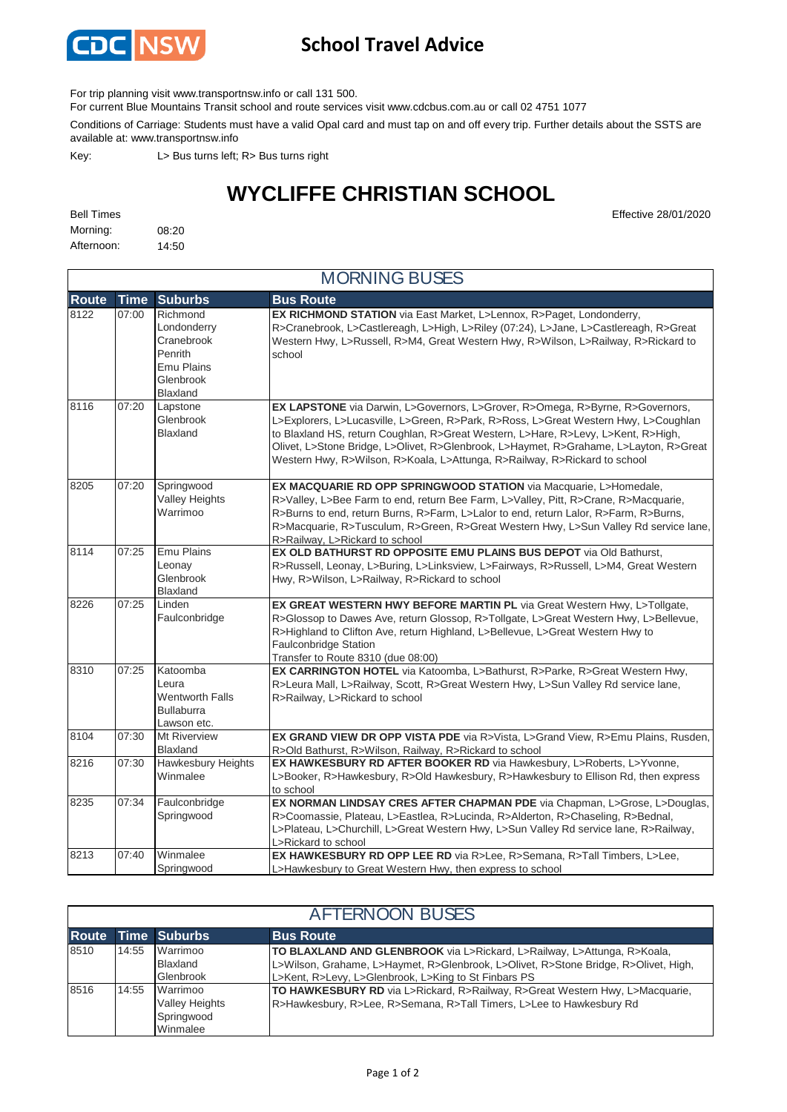

## **School Travel Advice**

For trip planning visit www.transportnsw.info or call 131 500.

For current Blue Mountains Transit school and route services visit www.cdcbus.com.au or call 02 4751 1077

Conditions of Carriage: Students must have a valid Opal card and must tap on and off every trip. Further details about the SSTS are available at: www.transportnsw.info

Key: L> Bus turns left; R> Bus turns right

## **WYCLIFFE CHRISTIAN SCHOOL**

Bell Times Effective 28/01/2020

| טטוווויט   |       |
|------------|-------|
| Morning:   | 08:20 |
| Afternoon: | 14:50 |

|       | <b>MORNING BUSES</b> |                                                                                                |                                                                                                                                                                                                                                                                                                                                                                                                                                 |  |  |
|-------|----------------------|------------------------------------------------------------------------------------------------|---------------------------------------------------------------------------------------------------------------------------------------------------------------------------------------------------------------------------------------------------------------------------------------------------------------------------------------------------------------------------------------------------------------------------------|--|--|
| Route | <b>Time</b>          | <b>Suburbs</b>                                                                                 | <b>Bus Route</b>                                                                                                                                                                                                                                                                                                                                                                                                                |  |  |
| 8122  | 07:00                | Richmond<br>Londonderry<br>Cranebrook<br>Penrith<br><b>Emu Plains</b><br>Glenbrook<br>Blaxland | EX RICHMOND STATION via East Market, L>Lennox, R>Paget, Londonderry,<br>R>Cranebrook, L>Castlereagh, L>High, L>Riley (07:24), L>Jane, L>Castlereagh, R>Great<br>Western Hwy, L>Russell, R>M4, Great Western Hwy, R>Wilson, L>Railway, R>Rickard to<br>school                                                                                                                                                                    |  |  |
| 8116  | 07:20                | Lapstone<br>Glenbrook<br><b>Blaxland</b>                                                       | EX LAPSTONE via Darwin, L>Governors, L>Grover, R>Omega, R>Byrne, R>Governors,<br>L>Explorers, L>Lucasville, L>Green, R>Park, R>Ross, L>Great Western Hwy, L>Coughlan<br>to Blaxland HS, return Coughlan, R>Great Western, L>Hare, R>Levy, L>Kent, R>High,<br>Olivet, L>Stone Bridge, L>Olivet, R>Glenbrook, L>Haymet, R>Grahame, L>Layton, R>Great<br>Western Hwy, R>Wilson, R>Koala, L>Attunga, R>Railway, R>Rickard to school |  |  |
| 8205  | 07:20                | Springwood<br><b>Valley Heights</b><br>Warrimoo                                                | EX MACQUARIE RD OPP SPRINGWOOD STATION via Macquarie, L>Homedale,<br>R>Valley, L>Bee Farm to end, return Bee Farm, L>Valley, Pitt, R>Crane, R>Macquarie,<br>R>Burns to end, return Burns, R>Farm, L>Lalor to end, return Lalor, R>Farm, R>Burns,<br>R>Macquarie, R>Tusculum, R>Green, R>Great Western Hwy, L>Sun Valley Rd service lane,<br>R>Railway, L>Rickard to school                                                      |  |  |
| 8114  | 07:25                | <b>Emu Plains</b><br>Leonay<br>Glenbrook<br><b>Blaxland</b>                                    | EX OLD BATHURST RD OPPOSITE EMU PLAINS BUS DEPOT via Old Bathurst,<br>R>Russell, Leonay, L>Buring, L>Linksview, L>Fairways, R>Russell, L>M4, Great Western<br>Hwy, R>Wilson, L>Railway, R>Rickard to school                                                                                                                                                                                                                     |  |  |
| 8226  | 07:25                | Linden<br>Faulconbridge                                                                        | EX GREAT WESTERN HWY BEFORE MARTIN PL via Great Western Hwy, L>Tollgate,<br>R>Glossop to Dawes Ave, return Glossop, R>Tollgate, L>Great Western Hwy, L>Bellevue,<br>R>Highland to Clifton Ave, return Highland, L>Bellevue, L>Great Western Hwy to<br>Faulconbridge Station<br>Transfer to Route 8310 (due 08:00)                                                                                                               |  |  |
| 8310  | 07:25                | Katoomba<br>Leura<br><b>Wentworth Falls</b><br><b>Bullaburra</b><br>Lawson etc.                | EX CARRINGTON HOTEL via Katoomba, L>Bathurst, R>Parke, R>Great Western Hwy,<br>R>Leura Mall, L>Railway, Scott, R>Great Western Hwy, L>Sun Valley Rd service lane,<br>R>Railway, L>Rickard to school                                                                                                                                                                                                                             |  |  |
| 8104  | 07:30                | Mt Riverview<br>Blaxland                                                                       | EX GRAND VIEW DR OPP VISTA PDE via R>Vista, L>Grand View, R>Emu Plains, Rusden,<br>R>Old Bathurst, R>Wilson, Railway, R>Rickard to school                                                                                                                                                                                                                                                                                       |  |  |
| 8216  | 07:30                | Hawkesbury Heights<br>Winmalee                                                                 | EX HAWKESBURY RD AFTER BOOKER RD via Hawkesbury, L>Roberts, L>Yvonne,<br>L>Booker, R>Hawkesbury, R>Old Hawkesbury, R>Hawkesbury to Ellison Rd, then express<br>to school                                                                                                                                                                                                                                                        |  |  |
| 8235  | 07:34                | Faulconbridge<br>Springwood                                                                    | EX NORMAN LINDSAY CRES AFTER CHAPMAN PDE via Chapman, L>Grose, L>Douglas,<br>R>Coomassie, Plateau, L>Eastlea, R>Lucinda, R>Alderton, R>Chaseling, R>Bednal,<br>L>Plateau, L>Churchill, L>Great Western Hwy, L>Sun Valley Rd service lane, R>Railway,<br>L>Rickard to school                                                                                                                                                     |  |  |
| 8213  | 07:40                | Winmalee<br>Springwood                                                                         | EX HAWKESBURY RD OPP LEE RD via R>Lee, R>Semana, R>Tall Timbers, L>Lee,<br>L>Hawkesbury to Great Western Hwy, then express to school                                                                                                                                                                                                                                                                                            |  |  |

| <b>AFTERNOON BUSES</b> |       |                                                             |                                                                                                                                                                                                                        |
|------------------------|-------|-------------------------------------------------------------|------------------------------------------------------------------------------------------------------------------------------------------------------------------------------------------------------------------------|
| <b>Route</b>           |       | <b>Time Suburbs</b>                                         | <b>Bus Route</b>                                                                                                                                                                                                       |
| 8510                   | 14:55 | Warrimoo<br><b>Blaxland</b><br>Glenbrook                    | TO BLAXLAND AND GLENBROOK via L>Rickard, L>Railway, L>Attunga, R>Koala,<br>L>Wilson, Grahame, L>Haymet, R>Glenbrook, L>Olivet, R>Stone Bridge, R>Olivet, High,<br>L>Kent, R>Levy, L>Glenbrook, L>King to St Finbars PS |
| 8516                   | 14:55 | Warrimoo<br><b>Valley Heights</b><br>Springwood<br>Winmalee | <b>TO HAWKESBURY RD</b> via L>Rickard, R>Railway, R>Great Western Hwy, L>Macquarie,<br>R>Hawkesbury, R>Lee, R>Semana, R>Tall Timers, L>Lee to Hawkesbury Rd                                                            |